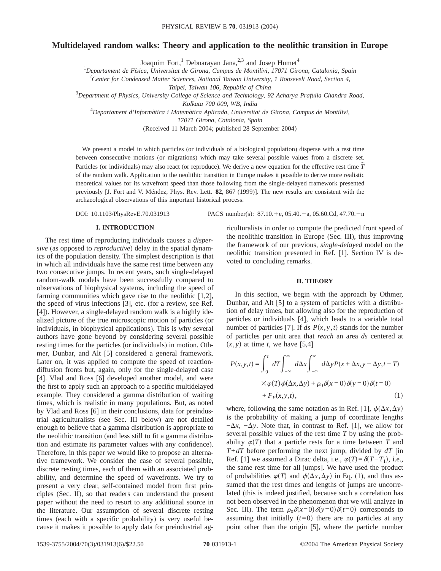# **Multidelayed random walks: Theory and application to the neolithic transition in Europe**

Joaquim Fort,<sup>1</sup> Debnarayan Jana,<sup>2,3</sup> and Josep Humet<sup>4</sup>

1 *Departament de Física, Universitat de Girona, Campus de Montilivi, 17071 Girona, Catalonia, Spain*

2 *Center for Condensed Matter Sciences, National Taiwan University, 1 Roosevelt Road, Section 4,*

*Taipei, Taiwan 106, Republic of China*

3 *Department of Physics, University College of Science and Technology, 92 Acharya Prafulla Chandra Road,*

*Kolkata 700 009, WB, India*

4 *Departament d'Informàtica i Matemàtica Aplicada, Universitat de Girona, Campus de Montilivi,*

*17071 Girona, Catalonia, Spain*

(Received 11 March 2004; published 28 September 2004)

We present a model in which particles (or individuals of a biological population) disperse with a rest time between consecutive motions (or migrations) which may take several possible values from a discrete set. Particles (or individuals) may also react (or reproduce). We derive a new equation for the effective rest time  $\tilde{T}$ of the random walk. Application to the neolithic transition in Europe makes it possible to derive more realistic theoretical values for its wavefront speed than those following from the single-delayed framework presented previously [J. Fort and V. Méndez, Phys. Rev. Lett. **82**, 867 (1999)]. The new results are consistent with the archaeological observations of this important historical process.

DOI: 10.1103/PhysRevE.70.031913 PACS number(s): 87.10.+e, 05.40.-a, 05.60.Cd, 47.70.-n

#### **I. INTRODUCTION**

The rest time of reproducing individuals causes a *dispersive* (as opposed to *reproductive*) delay in the spatial dynamics of the population density. The simplest description is that in which all individuals have the same rest time between any two consecutive jumps. In recent years, such single-delayed random-walk models have been successfully compared to observations of biophysical systems, including the speed of farming communities which gave rise to the neolithic [1,2], the speed of virus infections [3], etc. (for a review, see Ref. [4]). However, a single-delayed random walk is a highly idealized picture of the true microscopic motion of particles (or individuals, in biophysical applications). This is why several authors have gone beyond by considering several possible resting times for the particles (or individuals) in motion. Othmer, Dunbar, and Alt [5] considered a general framework. Later on, it was applied to compute the speed of reactiondiffusion fronts but, again, only for the single-delayed case [4]. Vlad and Ross [6] developed another model, and were the first to apply such an approach to a specific multidelayed example. They considered a gamma distribution of waiting times, which is realistic in many populations. But, as noted by Vlad and Ross [6] in their conclusions, data for preindustrial agriculturalists (see Sec. III below) are not detailed enough to believe that a gamma distribution is appropriate to the neolithic transition (and less still to fit a gamma distribution and estimate its parameter values with any confidence). Therefore, in this paper we would like to propose an alternative framework. We consider the case of several possible, discrete resting times, each of them with an associated probability, and determine the speed of wavefronts. We try to present a very clear, self-contained model from first principles (Sec. II), so that readers can understand the present paper without the need to resort to any additional source in the literature. Our assumption of several discrete resting times (each with a specific probability) is very useful because it makes it possible to apply data for preindustrial agriculturalists in order to compute the predicted front speed of the neolithic transition in Europe (Sec. III), thus improving the framework of our previous, *single-delayed* model on the neolithic transition presented in Ref. [1]. Section IV is devoted to concluding remarks.

### **II. THEORY**

In this section, we begin with the approach by Othmer, Dunbar, and Alt [5] to a system of particles with a distribution of delay times, but allowing also for the reproduction of particles or individuals [4], which leads to a variable total number of particles [7]. If *ds*  $P(x, y, t)$  stands for the number of particles per unit area that *reach* an area *ds* centered at  $(x, y)$  at time *t*, we have [5,4]

$$
P(x, y, t) = \int_0^t dT \int_{-\infty}^{\infty} d\Delta x \int_{-\infty}^{\infty} d\Delta y P(x + \Delta x, y + \Delta y, t - T)
$$
  
 
$$
\times \varphi(T) \phi(\Delta x, \Delta y) + \rho_0 \delta(x = 0) \delta(y = 0) \delta(t = 0)
$$
  
+  $F_P(x, y, t)$ , (1)

where, following the same notation as in Ref. [1],  $\phi(\Delta x, \Delta y)$ is the probability of making a jump of coordinate lengths  $-\Delta x$ ,  $-\Delta y$ . Note that, in contrast to Ref. [1], we allow for several possible values of the rest time *T* by using the probability  $\varphi(T)$  that a particle rests for a time between *T* and *T*+*dT* before performing the next jump, divided by *dT* [in Ref. [1] we assumed a Dirac delta, i.e.,  $\varphi(T) = \delta(T - T_1)$ , i.e., the same rest time for all jumps]. We have used the product of probabilities  $\varphi(T)$  and  $\phi(\Delta x, \Delta y)$  in Eq. (1), and thus assumed that the rest times and lengths of jumps are uncorrelated (this is indeed justified, because such a correlation has not been observed in the phenomenon that we will analyze in Sec. III). The term  $\rho_0 \delta(x=0) \delta(y=0) \delta(t=0)$  corresponds to assuming that initially  $(t=0)$  there are no particles at any point other than the origin [5], where the particle number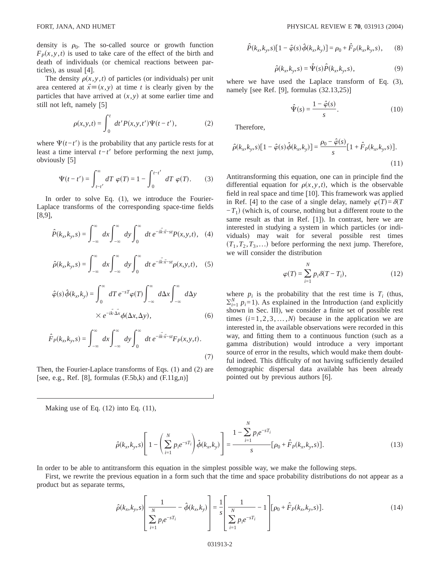density is  $\rho_0$ . The so-called source or growth function  $F<sub>P</sub>(x, y, t)$  is used to take care of the effect of the birth and death of individuals (or chemical reactions between particles), as usual [4].

The density  $\rho(x, y, t)$  of particles (or individuals) per unit area centered at  $\vec{x} \equiv (x, y)$  at time *t* is clearly given by the particles that have arrived at  $(x, y)$  at some earlier time and still not left, namely [5]

$$
\rho(x, y, t) = \int_0^t dt' P(x, y, t') \Psi(t - t'),
$$
\n(2)

where  $\Psi(t-t')$  is the probability that any particle rests for at least a time interval  $t-t'$  before performing the next jump, obviously [5]

$$
\Psi(t - t') = \int_{t - t'}^{\infty} dT \varphi(T) = 1 - \int_{0}^{t - t'} dT \varphi(T). \tag{3}
$$

In order to solve Eq. (1), we introduce the Fourier-Laplace transforms of the corresponding space-time fields [8,9],

$$
\hat{P}(k_x, k_y, s) = \int_{-\infty}^{\infty} dx \int_{-\infty}^{\infty} dy \int_{0}^{\infty} dt e^{-i\vec{k}\cdot\vec{x}-st} P(x, y, t), \quad (4)
$$

$$
\hat{\rho}(k_x, k_y, s) = \int_{-\infty}^{\infty} dx \int_{-\infty}^{\infty} dy \int_{0}^{\infty} dt e^{-i\vec{k}\cdot\vec{x} - st} \rho(x, y, t), \quad (5)
$$

$$
\hat{\varphi}(s)\hat{\phi}(k_x, k_y) = \int_0^\infty dT \, e^{-sT} \varphi(T) \int_{-\infty}^\infty d\Delta x \int_{-\infty}^\infty d\Delta y
$$
\n
$$
\times e^{-i\vec{k}\cdot\vec{\Delta x}} \phi(\Delta x, \Delta y), \tag{6}
$$

$$
\hat{F}_P(k_x, k_y, s) = \int_{-\infty}^{\infty} dx \int_{-\infty}^{\infty} dy \int_{0}^{\infty} dt e^{-i\vec{k}\cdot\vec{x} - st} F_P(x, y, t).
$$
\n(7)

Then, the Fourier-Laplace transforms of Eqs. (1) and (2) are [see, e.g., Ref. [8], formulas  $(F.5b,k)$  and  $(F.11g,n)$ ]

Making use of Eq. (12) into Eq. (11),

$$
\hat{P}(k_x, k_y, s)[1 - \hat{\varphi}(s)\hat{\phi}(k_x, k_y)] = \rho_0 + \hat{F}_P(k_x, k_y, s), \qquad (8)
$$

$$
\hat{\rho}(k_x, k_y, s) = \hat{\Psi}(s)\hat{P}(k_x, k_y, s), \qquad (9)
$$

where we have used the Laplace transform of Eq. (3), namely [see Ref. [9], formulas  $(32.13,25)$ ]

$$
\hat{\Psi}(s) = \frac{1 - \hat{\varphi}(s)}{s}.
$$
\n(10)

Therefore,

$$
\hat{\rho}(k_x, k_y, s)[1 - \hat{\varphi}(s)\hat{\phi}(k_x, k_y)] = \frac{\rho_0 - \hat{\varphi}(s)}{s} [1 + \hat{F}_P(k_x, k_y, s)].
$$
\n(11)

Antitransforming this equation, one can in principle find the differential equation for  $\rho(x, y, t)$ , which is the observable field in real space and time [10]. This framework was applied in Ref. [4] to the case of a single delay, namely  $\varphi(T) = \delta(T)$  $-T_1$ ) (which is, of course, nothing but a different route to the same result as that in Ref. [1]). In contrast, here we are interested in studying a system in which particles (or individuals) may wait for several possible rest times  $(T_1, T_2, T_3, \ldots)$  before performing the next jump. Therefore, we will consider the distribution

$$
\varphi(T) = \sum_{i=1}^{N} p_i \delta(T - T_i), \qquad (12)
$$

where  $p_i$  is the probability that the rest time is  $T_i$  (thus,  $\sum_{i=1}^{N} p_i = 1$ ). As explained in the Introduction (and explicitly shown in Sec. III), we consider a finite set of possible rest times  $(i=1,2,3,...,N)$  because in the application we are interested in, the available observations were recorded in this way, and fitting them to a continuous function (such as a gamma distribution) would introduce a very important source of error in the results, which would make them doubtful indeed. This difficulty of not having sufficiently detailed demographic dispersal data available has been already pointed out by previous authors [6].

$$
\hat{\rho}(k_x, k_y, s) \left[ 1 - \left( \sum_{i=1}^N p_i e^{-sT_i} \right) \hat{\phi}(k_x, k_y) \right] = \frac{1 - \sum_{i=1}^N p_i e^{-sT_i}}{s} [\rho_0 + \hat{F}_p(k_x, k_y, s)]. \tag{13}
$$

*N*

In order to be able to antitransform this equation in the simplest possible way, we make the following steps.

First, we rewrite the previous equation in a form such that the time and space probability distributions do not appear as a product but as separate terms,

$$
\hat{\rho}(k_x, k_y, s) \left[ \frac{1}{\sum_{i=1}^N p_i e^{-sT_i}} - \hat{\phi}(k_x, k_y) \right] = \frac{1}{s} \left[ \frac{1}{\sum_{i=1}^N p_i e^{-sT_i}} - 1 \right] [\rho_0 + \hat{F}_P(k_x, k_y, s)]. \tag{14}
$$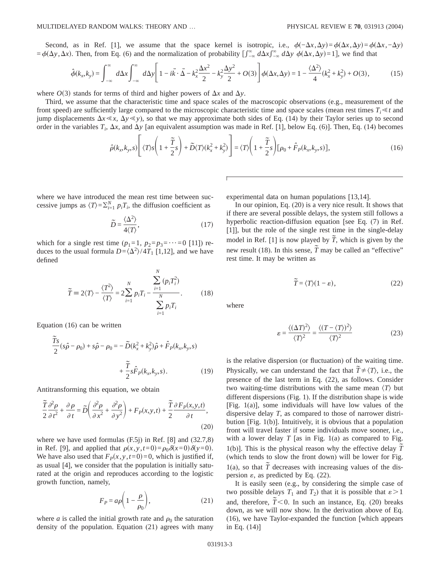Second, as in Ref. [1], we assume that the space kernel is isotropic, i.e.,  $\phi(-\Delta x, \Delta y) = \phi(\Delta x, \Delta y) = \phi(\Delta x, -\Delta y)$  $=\phi(\Delta y, \Delta x)$ . Then, from Eq. (6) and the normalization of probability  $\int_{-\infty}^{\infty} d\Delta x \int_{-\infty}^{\infty} d\Delta y \phi(\Delta x, \Delta y) = 1$ , we find that

$$
\hat{\phi}(k_x, k_y) = \int_{-\infty}^{\infty} d\Delta x \int_{-\infty}^{\infty} d\Delta y \left[ 1 - i\vec{k} \cdot \vec{\Delta} - k_x^2 \frac{\Delta x^2}{2} - k_y^2 \frac{\Delta y^2}{2} + O(3) \right] \phi(\Delta x, \Delta y) = 1 - \frac{\langle \Delta^2 \rangle}{4} (k_x^2 + k_y^2) + O(3), \tag{15}
$$

where  $O(3)$  stands for terms of third and higher powers of  $\Delta x$  and  $\Delta y$ .

Third, we assume that the characteristic time and space scales of the macroscopic observations (e.g., measurement of the front speed) are sufficiently large compared to the microscopic characteristic time and space scales (mean rest times  $T_i \leq t$  and jump displacements  $\Delta x \ll x$ ,  $\Delta y \ll y$ ), so that we may approximate both sides of Eq. (14) by their Taylor series up to second order in the variables  $T_i$ ,  $\Delta x$ , and  $\Delta y$  [an equivalent assumption was made in Ref. [1], below Eq. (6)]. Then, Eq. (14) becomes

$$
\hat{\rho}(k_x, k_y, s) \left[ \langle T \rangle s \left( 1 + \frac{\tilde{T}}{2} s \right) + \tilde{D} \langle T \rangle (k_x^2 + k_y^2) \right] = \langle T \rangle \left( 1 + \frac{\tilde{T}}{2} s \right) [\rho_0 + \hat{F}_P(k_x, k_y, s)], \tag{16}
$$

where we have introduced the mean rest time between successive jumps as  $\langle T \rangle = \sum_{i=1}^{N} p_i T_i$ , the diffusion coefficient as

$$
\widetilde{D} = \frac{\langle \Delta^2 \rangle}{4 \langle T \rangle},\tag{17}
$$

which for a single rest time  $(p_1=1, p_2=p_3=\cdots=0$  [11]) reduces to the usual formula  $D = \langle \Delta^2 \rangle / 4T_1$  [1,12], and we have defined

$$
\widetilde{T} = 2\langle T \rangle - \frac{\langle T^2 \rangle}{\langle T \rangle} = 2 \sum_{i=1}^N p_i T_i - \frac{\sum_{i=1}^N (p_i T_i^2)}{\sum_{i=1}^N p_i T_i}.
$$
 (18)

Equation (16) can be written

$$
\frac{\tilde{T}s}{2}(s\hat{\rho} - \rho_0) + s\hat{\rho} - \rho_0 = -\tilde{D}(k_x^2 + k_y^2)\hat{\rho} + \hat{F}_P(k_x, k_y, s) \n+ \frac{\tilde{T}}{2}s\hat{F}_P(k_x, k_y, s).
$$
\n(19)

Antitransforming this equation, we obtain

$$
\frac{\tilde{T}}{2}\frac{\partial^2 \rho}{\partial t^2} + \frac{\partial \rho}{\partial t} = \tilde{D}\left(\frac{\partial^2 \rho}{\partial x^2} + \frac{\partial^2 \rho}{\partial y^2}\right) + F_P(x, y, t) + \frac{\tilde{T}}{2}\frac{\partial F_P(x, y, t)}{\partial t},\tag{20}
$$

where we have used formulas (F.5j) in Ref. [8] and (32.7,8) in Ref. [9], and applied that  $\rho(x, y, t=0) = \rho_0 \delta(x=0) \delta(y=0)$ . We have also used that  $F_p(x, y, t=0) = 0$ , which is justified if, as usual [4], we consider that the population is initially saturated at the origin and reproduces according to the logistic growth function, namely,

$$
F_P = a\rho \bigg( 1 - \frac{\rho}{\rho_0} \bigg),\tag{21}
$$

where *a* is called the initial growth rate and  $\rho_0$  the saturation density of the population. Equation (21) agrees with many hyperbolic reaction-diffusion equation [see Eq. (7) in Ref.

experimental data on human populations [13,14].

[1]], but the role of the single rest time in the single-delay model in Ref. [1] is now played by  $\tilde{T}$ , which is given by the new result (18). In this sense,  $\tilde{T}$  may be called an "effective" rest time. It may be written as

In our opinion, Eq. (20) is a very nice result. It shows that if there are several possible delays, the system still follows a

$$
\widetilde{T} = \langle T \rangle (1 - \varepsilon), \tag{22}
$$

where

$$
\varepsilon = \frac{\langle (\Delta T)^2 \rangle}{\langle T \rangle^2} = \frac{\langle (T - \langle T \rangle)^2 \rangle}{\langle T \rangle^2}
$$
(23)

is the relative dispersion (or fluctuation) of the waiting time. Physically, we can understand the fact that  $\tilde{T} \neq \langle T \rangle$ , i.e., the presence of the last term in Eq. (22), as follows. Consider two waiting-time distributions with the same mean  $\langle T \rangle$  but different dispersions (Fig. 1). If the distribution shape is wide [Fig. 1(a)], some individuals will have low values of the dispersive delay *T*, as compared to those of narrower distribution [Fig. 1(b)]. Intuitively, it is obvious that a population front will travel faster if some individuals move sooner, i.e., with a lower delay  $T$  [as in Fig. 1(a) as compared to Fig. 1(b)]. This is the physical reason why the effective delay  $\tilde{T}$ (which tends to slow the front down) will be lower for Fig. 1(a), so that  $\tilde{T}$  decreases with increasing values of the dispersion  $\varepsilon$ , as predicted by Eq. (22).

It is easily seen (e.g., by considering the simple case of two possible delays  $T_1$  and  $T_2$ ) that it is possible that  $\varepsilon > 1$ and, therefore,  $\tilde{T}$ <0. In such an instance, Eq. (20) breaks down, as we will now show. In the derivation above of Eq. (16), we have Taylor-expanded the function [which appears in Eq. (14)]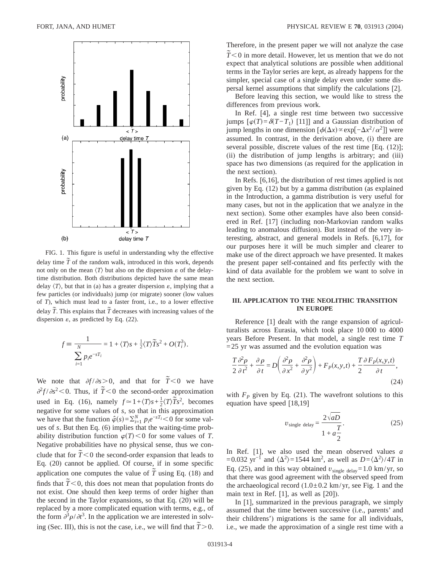

FIG. 1. This figure is useful in understanding why the effective delay time  $\tilde{T}$  of the random walk, introduced in this work, depends not only on the mean  $\langle T \rangle$  but also on the dispersion  $\varepsilon$  of the delaytime distribution. Both distributions depicted have the same mean delay  $\langle T \rangle$ , but that in (a) has a greater dispersion  $\varepsilon$ , implying that a few particles (or individuals) jump (or migrate) sooner (low values of *T*), which must lead to a faster front, i.e., to a lower effective delay  $\tilde{T}$ . This explains that  $\tilde{T}$  decreases with increasing values of the dispersion  $\varepsilon$ , as predicted by Eq. (22).

$$
f \equiv \frac{1}{N} = 1 + \langle T \rangle s + \frac{1}{2} \langle T \rangle \widetilde{T} s^2 + O(T_i^3).
$$
  

$$
\sum_{i=1}^{N} p_i e^{-sT_i}
$$

We note that  $\partial f / \partial s > 0$ , and that for  $\tilde{T} < 0$  we have  $\frac{\partial^2 f}{\partial s^2}$  < 0. Thus, if  $\tilde{T}$  < 0 the second-order approximation used in Eq. (16), namely  $f \approx 1 + \langle T \rangle s + \frac{1}{2} \langle T \rangle \tilde{T} s^2$ , becomes negative for some values of *s*, so that in this approximation we have that the function  $\hat{\varphi}(s) = \sum_{i=1}^{N} p_i e^{-sT_i} < 0$  for some values of *s*. But then Eq. (6) implies that the waiting-time probability distribution function  $\varphi(T)$  < 0 for some values of *T*. Negative probabilities have no physical sense, thus we conclude that for  $\tilde{T}$  < 0 the second-order expansion that leads to Eq. (20) cannot be applied. Of course, if in some specific application one computes the value of  $\tilde{T}$  using Eq. (18) and finds that  $\tilde{T}$  < 0, this does not mean that population fronts do not exist. One should then keep terms of order higher than the second in the Taylor expansions, so that Eq. (20) will be replaced by a more complicated equation with terms, e.g., of the form  $\partial^3 \rho / \partial t^3$ . In the application we are interested in solving (Sec. III), this is not the case, i.e., we will find that  $\tilde{T} > 0$ .

Therefore, in the present paper we will not analyze the case *T*  $\tilde{T}$   $\leq$  0 in more detail. However, let us mention that we do not expect that analytical solutions are possible when additional terms in the Taylor series are kept, as already happens for the simpler, special case of a single delay even under some dispersal kernel assumptions that simplify the calculations [2].

Before leaving this section, we would like to stress the differences from previous work.

In Ref. [4], a single rest time between two successive jumps  $[φ(T) = δ(T - T_1)$  [11]] and a Gaussian distribution of jump lengths in one dimension  $[φ(Δx) ≈ exp[-Δx<sup>2</sup>/α<sup>2</sup>]]$  were assumed. In contrast, in the derivation above, (i) there are several possible, discrete values of the rest time [Eq. (12)]; (ii) the distribution of jump lengths is arbitrary; and (iii) space has two dimensions (as required for the application in the next section).

In Refs. [6,16], the distribution of rest times applied is not given by Eq. (12) but by a gamma distribution (as explained in the Introduction, a gamma distribution is very useful for many cases, but not in the application that we analyze in the next section). Some other examples have also been considered in Ref. [17] (including non-Markovian random walks leading to anomalous diffusion). But instead of the very interesting, abstract, and general models in Refs. [6,17], for our purposes here it will be much simpler and clearer to make use of the direct approach we have presented. It makes the present paper self-contained and fits perfectly with the kind of data available for the problem we want to solve in the next section.

## **III. APPLICATION TO THE NEOLITHIC TRANSITION IN EUROPE**

Reference [1] dealt with the range expansion of agriculturalists across Eurasia, which took place 10 000 to 4000 years Before Present. In that model, a single rest time *T*  $=25$  yr was assumed and the evolution equation was

$$
\frac{T}{2}\frac{\partial^2 \rho}{\partial t^2} + \frac{\partial \rho}{\partial t} = D\left(\frac{\partial^2 \rho}{\partial x^2} + \frac{\partial^2 \rho}{\partial y^2}\right) + F_P(x, y, t) + \frac{T}{2}\frac{\partial F_P(x, y, t)}{\partial t},\tag{24}
$$

with  $F_p$  given by Eq. (21). The wavefront solutions to this equation have speed [18,19]

$$
v_{\text{single delay}} = \frac{2\sqrt{aD}}{1 + a\frac{T}{2}}.\tag{25}
$$

In Ref. [1], we also used the mean observed values *a* =0.032 yr<sup>-1</sup> and  $\langle \Delta^2 \rangle$ =1544 km<sup>2</sup>, as well as  $D = \langle \Delta^2 \rangle / 4T$  in Eq. (25), and in this way obtained  $v_{single\ delay} = 1.0 \text{ km/yr, so}$ that there was good agreement with the observed speed from the archaeological record  $(1.0\pm 0.2 \text{ km/yr})$ , see Fig. 1 and the main text in Ref. [1], as well as [20]).

In [1], summarized in the previous paragraph, we simply assumed that the time between successive (i.e., parents' and their childrens') migrations is the same for all individuals, i.e., we made the approximation of a single rest time with a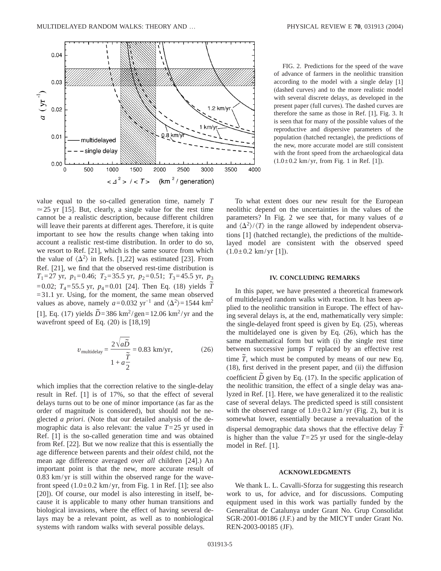

FIG. 2. Predictions for the speed of the wave of advance of farmers in the neolithic transition according to the model with a single delay [1] (dashed curves) and to the more realistic model with several discrete delays, as developed in the present paper (full curves). The dashed curves are therefore the same as those in Ref. [1], Fig. 3. It is seen that for many of the possible values of the reproductive and dispersive parameters of the population (hatched rectangle), the predictions of the new, more accurate model are still consistent with the front speed from the archaeological data  $(1.0 \pm 0.2 \text{ km/yr}, \text{ from Fig. 1 in Ref. [1]).}$ 

value equal to the so-called generation time, namely *T*  $\approx$  25 yr [15]. But, clearly, a single value for the rest time cannot be a realistic description, because different children will leave their parents at different ages. Therefore, it is quite important to see how the results change when taking into account a realistic rest-time distribution. In order to do so, we resort to Ref. [21], which is the same source from which the value of  $\langle \Delta^2 \rangle$  in Refs. [1,22] was estimated [23]. From Ref. [21], we find that the observed rest-time distribution is *T*<sub>1</sub>=27 yr, *p*<sub>1</sub>=0.46; *T*<sub>2</sub>=35.5 yr, *p*<sub>2</sub>=0.51; *T*<sub>3</sub>=45.5 yr, *p*<sub>3</sub>  $=0.02$ ;  $T_4 = 55.5$  yr,  $p_4 = 0.01$  [24]. Then Eq. (18) yields  $\tilde{T}$  $=31.1$  yr. Using, for the moment, the same mean observed values as above, namely  $a=0.032$  yr<sup>-1</sup> and  $\langle \Delta^2 \rangle = 1544$  km<sup>2</sup> [1], Eq. (17) yields  $\tilde{D} = 386 \text{ km}^2/\text{gen} = 12.06 \text{ km}^2/\text{yr}$  and the wavefront speed of Eq. (20) is [18,19]

$$
v_{\text{multidelay}} = \frac{2\sqrt{a\tilde{D}}}{1 + a\frac{\tilde{T}}{2}} = 0.83 \text{ km/yr},\tag{26}
$$

which implies that the correction relative to the single-delay result in Ref. [1] is of 17%, so that the effect of several delays turns out to be one of minor importance (as far as the order of magnitude is considered), but should not be neglected *a priori*. (Note that our detailed analysis of the demographic data is also relevant: the value  $T=25$  yr used in Ref. [1] is the so-called generation time and was obtained from Ref. [22]. But we now realize that this is essentially the age difference between parents and their *oldest* child, not the mean age difference averaged over *all* children [24].) An important point is that the new, more accurate result of 0.83 km/yr is still within the observed range for the wavefront speed  $(1.0\pm 0.2 \text{ km/yr}, \text{ from Fig. 1 in Ref. } [1]; \text{ see also})$ [20]). Of course, our model is also interesting in itself, because it is applicable to many other human transitions and biological invasions, where the effect of having several delays may be a relevant point, as well as to nonbiological systems with random walks with several possible delays.

To what extent does our new result for the European neolithic depend on the uncertainties in the values of the parameters? In Fig. 2 we see that, for many values of *a* and  $\langle \Delta^2 \rangle / \langle T \rangle$  in the range allowed by independent observations [1] (hatched rectangle), the predictions of the multidelayed model are consistent with the observed speed  $(1.0\pm0.2 \text{ km/yr } [1])$ .

### **IV. CONCLUDING REMARKS**

In this paper, we have presented a theoretical framework of multidelayed random walks with reaction. It has been applied to the neolithic transition in Europe. The effect of having several delays is, at the end, mathematically very simple: the single-delayed front speed is given by Eq. (25), whereas the multidelayed one is given by Eq. (26), which has the same mathematical form but with (i) the single rest time between successive jumps *T* replaced by an effective rest time  $\tilde{T}$ , which must be computed by means of our new Eq. (18), first derived in the present paper, and (ii) the diffusion coefficient *D* given by Eq. (17). In the specific application of the neolithic transition, the effect of a single delay was analyzed in Ref. [1]. Here, we have generalized it to the realistic case of several delays. The predicted speed is still consistent with the observed range of  $1.0\pm 0.2$  km/yr (Fig. 2), but it is somewhat lower, essentially because a reevaluation of the dispersal demographic data shows that the effective delay  $\tilde{T}$ is higher than the value  $T=25$  yr used for the single-delay model in Ref. [1].

### **ACKNOWLEDGMENTS**

We thank L. L. Cavalli-Sforza for suggesting this research work to us, for advice, and for discussions. Computing equipment used in this work was partially funded by the Generalitat de Catalunya under Grant No. Grup Consolidat SGR-2001-00186 (J.F.) and by the MICYT under Grant No. REN-2003-00185 (JF).